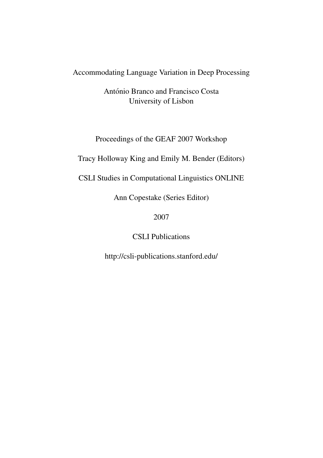Accommodating Language Variation in Deep Processing

António Branco and Francisco Costa University of Lisbon

Proceedings of the GEAF 2007 Workshop

Tracy Holloway King and Emily M. Bender (Editors)

CSLI Studies in Computational Linguistics ONLINE

Ann Copestake (Series Editor)

2007

CSLI Publications

http://csli-publications.stanford.edu/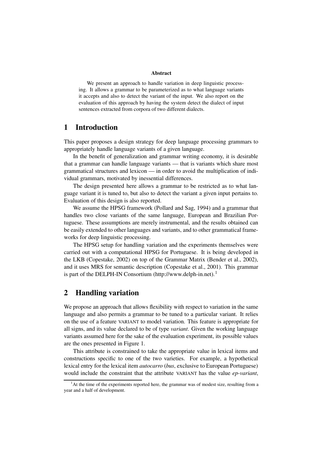#### **Abstract**

We present an approach to handle variation in deep linguistic processing. It allows a grammar to be parameterized as to what language variants it accepts and also to detect the variant of the input. We also report on the evaluation of this approach by having the system detect the dialect of input sentences extracted from corpora of two different dialects.

#### **1 Introduction**

This paper proposes a design strategy for deep language processing grammars to appropriately handle language variants of a given language.

In the benefit of generalization and grammar writing economy, it is desirable that a grammar can handle language variants — that is variants which share most grammatical structures and lexicon — in order to avoid the multiplication of individual grammars, motivated by inessential differences.

The design presented here allows a grammar to be restricted as to what language variant it is tuned to, but also to detect the variant a given input pertains to. Evaluation of this design is also reported.

We assume the HPSG framework (Pollard and Sag, 1994) and a grammar that handles two close variants of the same language, European and Brazilian Portuguese. These assumptions are merely instrumental, and the results obtained can be easily extended to other languages and variants, and to other grammatical frameworks for deep linguistic processing.

The HPSG setup for handling variation and the experiments themselves were carried out with a computational HPSG for Portuguese. It is being developed in the LKB (Copestake, 2002) on top of the Grammar Matrix (Bender et al., 2002), and it uses MRS for semantic description (Copestake et al., 2001). This grammar is part of the DELPH-IN Consortium (http://www.delph-in.net).<sup>1</sup>

#### **2 Handling variation**

We propose an approach that allows flexibility with respect to variation in the same language and also permits a grammar to be tuned to a particular variant. It relies on the use of a feature VARIANT to model variation. This feature is appropriate for all signs, and its value declared to be of type *variant*. Given the working language variants assumed here for the sake of the evaluation experiment, its possible values are the ones presented in Figure 1.

This attribute is constrained to take the appropriate value in lexical items and constructions specific to one of the two varieties. For example, a hypothetical lexical entry for the lexical item *autocarro* (*bus*, exclusive to European Portuguese) would include the constraint that the attribute VARIANT has the value *ep-variant*,

 $<sup>1</sup>$ At the time of the experiments reported here, the grammar was of modest size, resulting from a</sup> year and a half of development.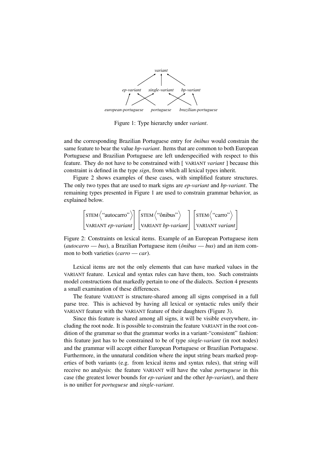

Figure 1: Type hierarchy under *variant*.

and the corresponding Brazilian Portuguese entry for  $\partial n_i$  *bushes* would constrain the same feature to bear the value *bp-variant*. Items that are common to both European Portuguese and Brazilian Portuguese are left underspecified with respect to this feature. They do not have to be constrained with [ VARIANT *variant* ] because this constraint is defined in the type *sign*, from which all lexical types inherit.

Figure 2 shows examples of these cases, with simplified feature structures. The only two types that are used to mark signs are *ep-variant* and *bp-variant*. The remaining types presented in Figure 1 are used to constrain grammar behavior, as explained below.

$$
\begin{bmatrix} \text{STEM} \langle \text{``autocarro''} \rangle \\ \text{VARIANT } ep\text{-}variant \end{bmatrix} \begin{bmatrix} \text{STEM} \langle \text{``\^o} \text{inibus''} \rangle \\ \text{VARIANT } bp\text{-}variant \end{bmatrix} \begin{bmatrix} \text{STEM} \langle \text{``\^c} \text{arrow''} \rangle \\ \text{VARIANT } variant \end{bmatrix}
$$

Figure 2: Constraints on lexical items. Example of an European Portuguese item (*autocarro* — *bus*), a Brazilian Portuguese item ( $\delta$ *nibus* — *bus*) and an item common to both varieties (*carro* — *car*).

Lexical items are not the only elements that can have marked values in the VARIANT feature. Lexical and syntax rules can have them, too. Such constraints model constructions that markedly pertain to one of the dialects. Section 4 presents a small examination of these differences.

The feature VARIANT is structure-shared among all signs comprised in a full parse tree. This is achieved by having all lexical or syntactic rules unify their VARIANT feature with the VARIANT feature of their daughters (Figure 3).

Since this feature is shared among all signs, it will be visible everywhere, including the root node. It is possible to constrain the feature VARIANT in the root condition of the grammar so that the grammar works in a variant-"consistent" fashion: this feature just has to be constrained to be of type *single-variant* (in root nodes) and the grammar will accept either European Portuguese or Brazilian Portuguese. Furthermore, in the unnatural condition where the input string bears marked properties of both variants (e.g. from lexical items and syntax rules), that string will receive no analysis: the feature VARIANT will have the value *portuguese* in this case (the greatest lower bounds for *ep-variant* and the other *bp-variant*), and there is no unifier for *portuguese* and *single-variant*.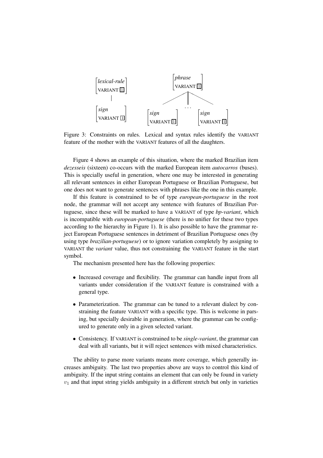

Figure 3: Constraints on rules. Lexical and syntax rules identify the VARIANT feature of the mother with the VARIANT features of all the daughters.

Figure 4 shows an example of this situation, where the marked Brazilian item *dezesseis* (sixteen) co-occurs with the marked European item *autocarros* (buses). This is specially useful in generation, where one may be interested in generating all relevant sentences in either European Portuguese or Brazilian Portuguese, but one does not want to generate sentences with phrases like the one in this example.

If this feature is constrained to be of type *european-portuguese* in the root node, the grammar will not accept any sentence with features of Brazilian Portuguese, since these will be marked to have a VARIANT of type *bp-variant*, which is incompatible with *european-portuguese* (there is no unifier for these two types according to the hierarchy in Figure 1). It is also possible to have the grammar reject European Portuguese sentences in detriment of Brazilian Portuguese ones (by using type *brazilian-portuguese*) or to ignore variation completely by assigning to VARIANT the *variant* value, thus not constraining the VARIANT feature in the start symbol.

The mechanism presented here has the following properties:

- Increased coverage and flexibility. The grammar can handle input from all variants under consideration if the VARIANT feature is constrained with a general type.
- Parameterization. The grammar can be tuned to a relevant dialect by constraining the feature VARIANT with a specific type. This is welcome in parsing, but specially desirable in generation, where the grammar can be configured to generate only in a given selected variant.
- Consistency. If VARIANT is constrained to be *single-variant*, the grammar can deal with all variants, but it will reject sentences with mixed characteristics.

The ability to parse more variants means more coverage, which generally increases ambiguity. The last two properties above are ways to control this kind of ambiguity. If the input string contains an element that can only be found in variety  $v_1$  and that input string yields ambiguity in a different stretch but only in varieties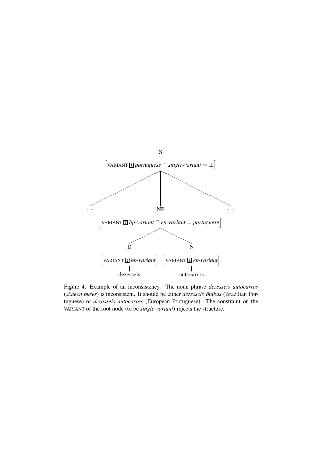

Figure 4: Example of an inconsistency. The noun phrase *dezesseis autocarros* (sixteen buses) is inconsistent. It should be either *dezesseis ônibus* (Brazilian Portuguese) or *dezasseis autocarros* (European Portuguese). The constraint on the VARIANT of the root node (to be *single-variant*) rejects the structure.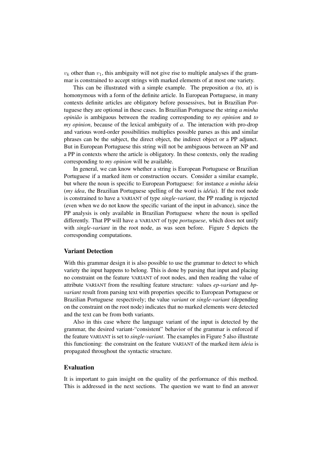$v_k$  other than  $v_1$ , this ambiguity will not give rise to multiple analyses if the grammar is constrained to accept strings with marked elements of at most one variety.

This can be illustrated with a simple example. The preposition  $a$  (to, at) is homonymous with a form of the definite article. In European Portuguese, in many contexts definite articles are obligatory before possessives, but in Brazilian Portuguese they are optional in these cases. In Brazilian Portuguese the string *a minha opiniao˜* is ambiguous between the reading corresponding to *my opinion* and *to my opinion*, because of the lexical ambiguity of *a*. The interaction with pro-drop and various word-order possibilities multiplies possible parses as this and similar phrases can be the subject, the direct object, the indirect object or a PP adjunct. But in European Portuguese this string will not be ambiguous between an NP and a PP in contexts where the article is obligatory. In these contexts, only the reading corresponding to *my opinion* will be available.

In general, we can know whether a string is European Portuguese or Brazilian Portuguese if a marked item or construction occurs. Consider a similar example, but where the noun is specific to European Portuguese: for instance *a minha ideia*  $(my \, idea, the Brazilian Portuguese spelling of the word is  $idéia$ ). If the root node$ is constrained to have a VARIANT of type *single-variant*, the PP reading is rejected (even when we do not know the specific variant of the input in advance), since the PP analysis is only available in Brazilian Portuguese where the noun is spelled differently. That PP will have a VARIANT of type *portuguese*, which does not unify with *single-variant* in the root node, as was seen before. Figure 5 depicts the corresponding computations.

#### **Variant Detection**

With this grammar design it is also possible to use the grammar to detect to which variety the input happens to belong. This is done by parsing that input and placing no constraint on the feature VARIANT of root nodes, and then reading the value of attribute VARIANT from the resulting feature structure: values *ep-variant* and *bpvariant* result from parsing text with properties specific to European Portuguese or Brazilian Portuguese respectively; the value *variant* or *single-variant* (depending on the constraint on the root node) indicates that no marked elements were detected and the text can be from both variants.

Also in this case where the language variant of the input is detected by the grammar, the desired variant-"consistent" behavior of the grammar is enforced if the feature VARIANT is set to *single-variant*. The examples in Figure 5 also illustrate this functioning: the constraint on the feature VARIANT of the marked item *ideia* is propagated throughout the syntactic structure.

#### **Evaluation**

It is important to gain insight on the quality of the performance of this method. This is addressed in the next sections. The question we want to find an answer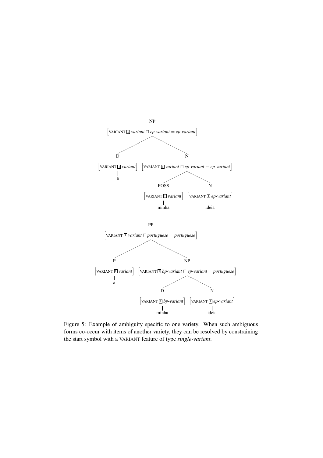

Figure 5: Example of ambiguity specific to one variety. When such ambiguous forms co-occur with items of another variety, they can be resolved by constraining the start symbol with a VARIANT feature of type *single-variant*.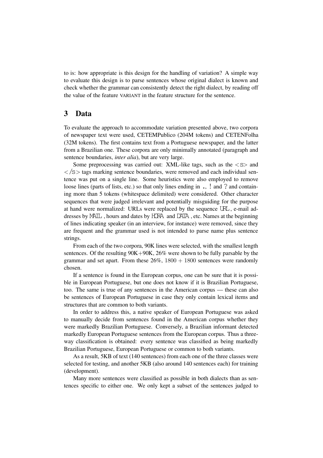to is: how appropriate is this design for the handling of variation? A simple way to evaluate this design is to parse sentences whose original dialect is known and check whether the grammar can consistently detect the right dialect, by reading off the value of the feature VARIANT in the feature structure for the sentence.

## **3 Data**

To evaluate the approach to accommodate variation presented above, two corpora of newspaper text were used, CETEMPublico (204M tokens) and CETENFolha (32M tokens). The first contains text from a Portuguese newspaper, and the latter from a Brazilian one. These corpora are only minimally annotated (paragraph and sentence boundaries, *inter alia*), but are very large.

Some preprocessing was carried out: XML-like tags, such as the  $\langle S \rangle$  and  $\langle$  /S  $>$  tags marking sentence boundaries, were removed and each individual sentence was put on a single line. Some heuristics were also employed to remove loose lines (parts of lists, etc.) so that only lines ending in ., ! and ? and containing more than 5 tokens (whitespace delimited) were considered. Other character sequences that were judged irrelevant and potentially misguiding for the purpose at hand were normalized: URLs were replaced by the sequence URL , e-mail addresses by MAIL , hours and dates by HORA and DATA , etc. Names at the beginning of lines indicating speaker (in an interview, for instance) were removed, since they are frequent and the grammar used is not intended to parse name plus sentence strings.

From each of the two corpora, 90K lines were selected, with the smallest length sentences. Of the resulting  $90K+90K$ ,  $26\%$  were shown to be fully parsable by the grammar and set apart. From these  $26\%, 1800 + 1800$  sentences were randomly chosen.

If a sentence is found in the European corpus, one can be sure that it is possible in European Portuguese, but one does not know if it is Brazilian Portuguese, too. The same is true of any sentences in the American corpus — these can also be sentences of European Portuguese in case they only contain lexical items and structures that are common to both variants.

In order to address this, a native speaker of European Portuguese was asked to manually decide from sentences found in the American corpus whether they were markedly Brazilian Portuguese. Conversely, a Brazilian informant detected markedly European Portuguese sentences from the European corpus. Thus a threeway classification is obtained: every sentence was classified as being markedly Brazilian Portuguese, European Portuguese or common to both variants.

As a result, 5KB of text (140 sentences) from each one of the three classes were selected for testing, and another 5KB (also around 140 sentences each) for training (development).

Many more sentences were classified as possible in both dialects than as sentences specific to either one. We only kept a subset of the sentences judged to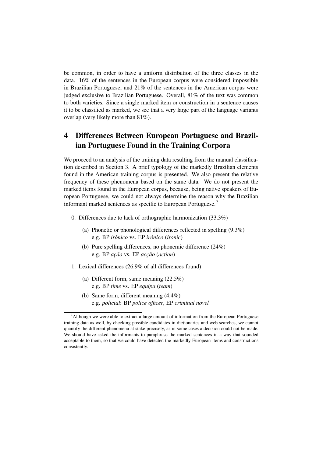be common, in order to have a uniform distribution of the three classes in the data. 16% of the sentences in the European corpus were considered impossible in Brazilian Portuguese, and 21% of the sentences in the American corpus were judged exclusive to Brazilian Portuguese. Overall, 81% of the text was common to both varieties. Since a single marked item or construction in a sentence causes it to be classified as marked, we see that a very large part of the language variants overlap (very likely more than 81%).

# **4 Differences Between European Portuguese and Brazilian Portuguese Found in the Training Corpora**

We proceed to an analysis of the training data resulting from the manual classification described in Section 3. A brief typology of the markedly Brazilian elements found in the American training corpus is presented. We also present the relative frequency of these phenomena based on the same data. We do not present the marked items found in the European corpus, because, being native speakers of European Portuguese, we could not always determine the reason why the Brazilian informant marked sentences as specific to European Portuguese.<sup>2</sup>

- 0. Differences due to lack of orthographic harmonization (33.3%)
	- (a) Phonetic or phonological differences reflected in spelling (9.3%) e.g. BP *ironico ˆ* vs. EP *ironico ´* (*ironic*)
	- (b) Pure spelling differences, no phonemic difference (24%) e.g. BP *ac¸ao˜* vs. EP *acc¸ao˜* (*action*)
- 1. Lexical differences (26.9% of all differences found)
	- (a) Different form, same meaning (22.5%) e.g. BP *time* vs. EP *equipa* (*team*)
	- (b) Same form, different meaning (4.4%) e.g. *policial*: BP *police officer*, EP *criminal novel*

 $2$ Although we were able to extract a large amount of information from the European Portuguese training data as well, by checking possible candidates in dictionaries and web searches, we cannot quantify the different phenomena at stake precisely, as in some cases a decision could not be made. We should have asked the informants to paraphrase the marked sentences in a way that sounded acceptable to them, so that we could have detected the markedly European items and constructions consistently.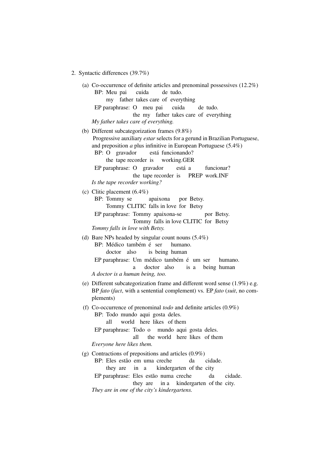2. Syntactic differences (39.7%)

| (a) Co-occurrence of definite articles and prenominal possessives $(12.2\%)$<br>BP: Meu pai cuida<br>de tudo.<br>my father takes care of everything |  |  |  |  |  |
|-----------------------------------------------------------------------------------------------------------------------------------------------------|--|--|--|--|--|
| EP paraphrase: O meu pai cuida<br>de tudo.                                                                                                          |  |  |  |  |  |
| the my father takes care of everything                                                                                                              |  |  |  |  |  |
| My father takes care of everything.                                                                                                                 |  |  |  |  |  |
| (b) Different subcategorization frames $(9.8\%)$                                                                                                    |  |  |  |  |  |
| Progressive auxiliary estar selects for a gerund in Brazilian Portuguese,                                                                           |  |  |  |  |  |
| and preposition $a$ plus infinitive in European Portuguese (5.4%)                                                                                   |  |  |  |  |  |
| BP: O gravador<br>está funcionando?                                                                                                                 |  |  |  |  |  |
| the tape recorder is working.GER<br>EP paraphrase: O gravador está a funcionar?                                                                     |  |  |  |  |  |
| the tape recorder is PREP work.INF                                                                                                                  |  |  |  |  |  |
| Is the tape recorder working?                                                                                                                       |  |  |  |  |  |
| (c) Clitic placement $(6.4\%)$                                                                                                                      |  |  |  |  |  |
| BP: Tommy se apaixona por Betsy.                                                                                                                    |  |  |  |  |  |
| Tommy CLITIC falls in love for Betsy                                                                                                                |  |  |  |  |  |
| EP paraphrase: Tommy apaixona-se por Betsy.<br>Tommy falls in love CLITIC for Betsy                                                                 |  |  |  |  |  |
| Tommy falls in love with Betsy.                                                                                                                     |  |  |  |  |  |
| (d) Bare NPs headed by singular count nouns $(5.4\%)$<br>BP: Médico também é ser<br>humano.                                                         |  |  |  |  |  |
| doctor also is being human<br>EP paraphrase: Um médico também é um ser humano.                                                                      |  |  |  |  |  |
| doctor also is a being human<br>a                                                                                                                   |  |  |  |  |  |
| A doctor is a human being, too.                                                                                                                     |  |  |  |  |  |
| (e) Different subcategorization frame and different word sense $(1.9\%)$ e.g.                                                                       |  |  |  |  |  |
| BP fato (fact, with a sentential complement) vs. EP fato (suit, no com-                                                                             |  |  |  |  |  |
| plements)                                                                                                                                           |  |  |  |  |  |
| (f) Co-occurrence of prenominal todo and definite articles $(0.9\%)$<br>BP: Todo mundo aqui gosta deles.                                            |  |  |  |  |  |
| world here likes of them<br>all                                                                                                                     |  |  |  |  |  |
| EP paraphrase: Todo o mundo aqui gosta deles.                                                                                                       |  |  |  |  |  |
| all the world here likes of them<br>Everyone here likes them.                                                                                       |  |  |  |  |  |
| (g) Contractions of prepositions and articles $(0.9\%)$                                                                                             |  |  |  |  |  |
| BP: Eles estão em uma creche<br>da<br>cidade.                                                                                                       |  |  |  |  |  |
| kindergarten of the city<br>they are<br>in a                                                                                                        |  |  |  |  |  |
| EP paraphrase: Eles estão numa creche<br>da<br>cidade.<br>they are in a kindergarten of the city.                                                   |  |  |  |  |  |
| They are in one of the city's kindergartens.                                                                                                        |  |  |  |  |  |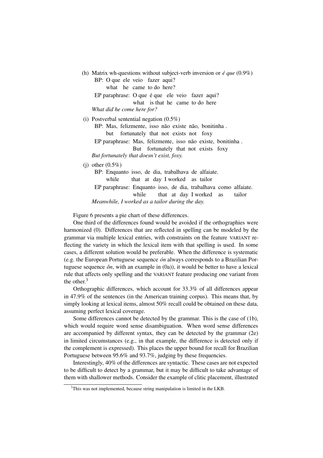(h) Matrix wh-questions without subject-verb inversion or *e´ que* (0.9%) BP: O que ele veio fazer aqui? what he came to do here? EP paraphrase: O que  $\acute{e}$  que ele veio fazer aqui? what is that he came to do here *What did he come here for?* (i) Postverbal sentential negation (0.5%) BP: Mas, felizmente, isso não existe não, bonitinha . but fortunately that not exists not foxy EP paraphrase: Mas, felizmente, isso não existe, bonitinha. But fortunately that not exists foxy *But fortunately that doesn't exist, foxy.* (j) other  $(0.5\%)$ BP: Enquanto isso, de dia, trabalhava de alfaiate.

while that at day I worked as tailor EP paraphrase: Enquanto isso, de dia, trabalhava como alfaiate.

while that at day I worked as tailor *Meanwhile, I worked as a tailor during the day.*

Figure 6 presents a pie chart of these differences.

One third of the differences found would be avoided if the orthographies were harmonized (0). Differences that are reflected in spelling can be modeled by the grammar via multiple lexical entries, with constraints on the feature VARIANT reflecting the variety in which the lexical item with that spelling is used. In some cases, a different solution would be preferable. When the difference is systematic (e.g. the European Portuguese sequence *on´* always corresponds to a Brazilian Portuguese sequence  $\partial n$ , with an example in  $(0a)$ ), it would be better to have a lexical rule that affects only spelling and the VARIANT feature producing one variant from the other.<sup>3</sup>

Orthographic differences, which account for 33.3% of all differences appear in 47.9% of the sentences (in the American training corpus). This means that, by simply looking at lexical items, almost 50% recall could be obtained on these data, assuming perfect lexical coverage.

Some differences cannot be detected by the grammar. This is the case of (1b), which would require word sense disambiguation. When word sense differences are accompanied by different syntax, they can be detected by the grammar (2e) in limited circumstances (e.g., in that example, the difference is detected only if the complement is expressed). This places the upper bound for recall for Brazilian Portuguese between 95.6% and 93.7%, judging by these frequencies.

Interestingly, 40% of the differences are syntactic. These cases are not expected to be difficult to detect by a grammar, but it may be difficult to take advantage of them with shallower methods. Consider the example of clitic placement, illustrated

 $3$ This was not implemented, because string manipulation is limited in the LKB.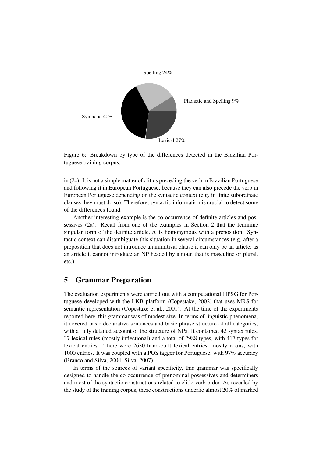

Figure 6: Breakdown by type of the differences detected in the Brazilian Portuguese training corpus.

in (2c). It is not a simple matter of clitics preceding the verb in Brazilian Portuguese and following it in European Portuguese, because they can also precede the verb in European Portuguese depending on the syntactic context (e.g. in finite subordinate clauses they must do so). Therefore, syntactic information is crucial to detect some of the differences found.

Another interesting example is the co-occurrence of definite articles and possessives (2a). Recall from one of the examples in Section 2 that the feminine singular form of the definite article, *a*, is homonymous with a preposition. Syntactic context can disambiguate this situation in several circumstances (e.g. after a preposition that does not introduce an infinitival clause it can only be an article; as an article it cannot introduce an NP headed by a noun that is masculine or plural, etc.).

#### **5 Grammar Preparation**

The evaluation experiments were carried out with a computational HPSG for Portuguese developed with the LKB platform (Copestake, 2002) that uses MRS for semantic representation (Copestake et al., 2001). At the time of the experiments reported here, this grammar was of modest size. In terms of linguistic phenomena, it covered basic declarative sentences and basic phrase structure of all categories, with a fully detailed account of the structure of NPs. It contained 42 syntax rules, 37 lexical rules (mostly inflectional) and a total of 2988 types, with 417 types for lexical entries. There were 2630 hand-built lexical entries, mostly nouns, with 1000 entries. It was coupled with a POS tagger for Portuguese, with 97% accuracy (Branco and Silva, 2004; Silva, 2007).

In terms of the sources of variant specificity, this grammar was specifically designed to handle the co-occurrence of prenominal possessives and determiners and most of the syntactic constructions related to clitic-verb order. As revealed by the study of the training corpus, these constructions underlie almost 20% of marked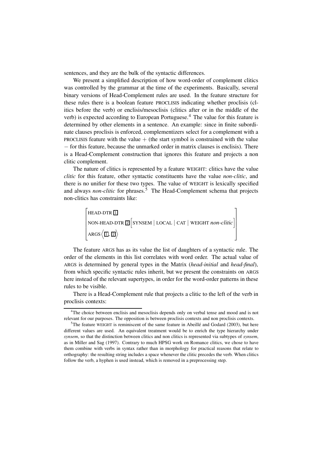sentences, and they are the bulk of the syntactic differences.

We present a simplified description of how word-order of complement clitics was controlled by the grammar at the time of the experiments. Basically, several binary versions of Head-Complement rules are used. In the feature structure for these rules there is a boolean feature PROCLISIS indicating whether proclisis (clitics before the verb) or enclisis/mesoclisis (clitics after or in the middle of the verb) is expected according to European Portuguese.<sup>4</sup> The value for this feature is determined by other elements in a sentence. An example: since in finite subordinate clauses proclisis is enforced, complementizers select for a complement with a PROCLISIS feature with the value  $+$  (the start symbol is constrained with the value − for this feature, because the unmarked order in matrix clauses is enclisis). There is a Head-Complement construction that ignores this feature and projects a non clitic complement.

The nature of clitics is represented by a feature WEIGHT: clitics have the value *clitic* for this feature, other syntactic constituents have the value *non-clitic*, and there is no unifier for these two types. The value of WEIGHT is lexically specified and always *non-clitic* for phrases.<sup>5</sup> The Head-Complement schema that projects non-clitics has constraints like:

$$
\begin{bmatrix}\n\text{HEAD-DTR} \boxed{1} \\
\text{NON-HEAD-DTR} \boxed{2} \left[ \text{SYNSEM} \mid \text{LOCAL} \mid \text{CAT} \mid \text{WEIGHT non-clitic} \right] \\
\text{ARGS} \left\langle \boxed{1}, \boxed{2} \right\rangle\n\end{bmatrix}
$$

1  $\overline{1}$  $\overline{1}$  $\overline{1}$  $\overline{1}$  $\mathbf{I}$ 

The feature ARGS has as its value the list of daughters of a syntactic rule. The order of the elements in this list correlates with word order. The actual value of ARGS is determined by general types in the Matrix (*head-initial* and *head-final*), from which specific syntactic rules inherit, but we present the constraints on ARGS here instead of the relevant supertypes, in order for the word-order patterns in these rules to be visible.

There is a Head-Complement rule that projects a clitic to the left of the verb in proclisis contexts:

<sup>4</sup>The choice between enclisis and mesoclisis depends only on verbal tense and mood and is not relevant for our purposes. The opposition is between proclisis contexts and non proclisis contexts.

 ${}^{5}$ The feature WEIGHT is reminiscent of the same feature in Abeillé and Godard (2003), but here different values are used. An equivalent treatment would be to enrich the type hierarchy under *synsem*, so that the distinction between clitics and non clitics is represented via subtypes of *synsem*, as in Miller and Sag (1997). Contrary to much HPSG work on Romance clitics, we chose to have them combine with verbs in syntax rather than in morphology for practical reasons that relate to orthography: the resulting string includes a space whenever the clitic precedes the verb. When clitics follow the verb, a hyphen is used instead, which is removed in a preprocessing step.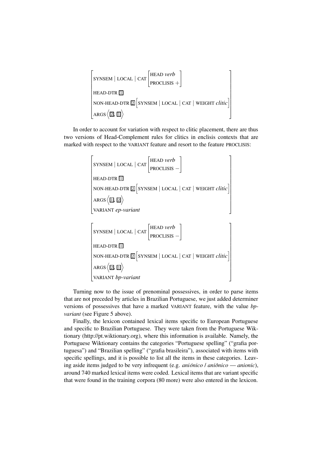$$
\begin{bmatrix}\n\text{SYNSEM} | \text{LOCAL} | \text{CAT} \begin{bmatrix}\n\text{HEAD verb} \\
\text{PROCLISIS} + \end{bmatrix} \\
\text{HEAD-DTR} \boxed{1} \\
\text{NON-HEAD-DTR} \boxed{2} \begin{bmatrix}\n\text{SYNSEM} | \text{LOCAL} | \text{CAT} | \text{WEIGHT } \text{clitic}\n\end{bmatrix} \\
\text{ARGS} \langle \boxed{2}, \boxed{1}\n\end{bmatrix}
$$

In order to account for variation with respect to clitic placement, there are thus two versions of Head-Complement rules for clitics in enclisis contexts that are marked with respect to the VARIANT feature and resort to the feature PROCLISIS:



Turning now to the issue of prenominal possessives, in order to parse items that are not preceded by articles in Brazilian Portuguese, we just added determiner versions of possessives that have a marked VARIANT feature, with the value *bpvariant* (see Figure 5 above).

Finally, the lexicon contained lexical items specific to European Portuguese and specific to Brazilian Portuguese. They were taken from the Portuguese Wiktionary (http://pt.wiktionary.org), where this information is available. Namely, the Portuguese Wiktionary contains the categories "Portuguese spelling" ("grafia portuguesa") and "Brazilian spelling" ("grafia brasileira"), associated with items with specific spellings, and it is possible to list all the items in these categories. Leaving aside items judged to be very infrequent (e.g. *aniónico* / *aniônico* — *anionic*), around 740 marked lexical items were coded. Lexical items that are variant specific that were found in the training corpora (80 more) were also entered in the lexicon.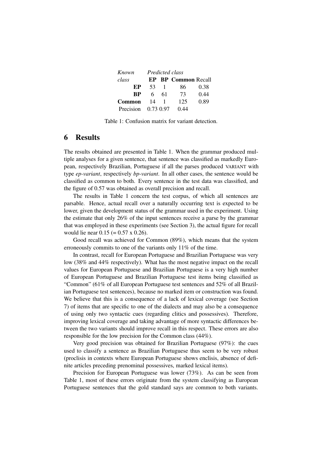| Known                 | Predicted class |     |                            |      |
|-----------------------|-----------------|-----|----------------------------|------|
| class                 |                 |     | <b>EP BP Common Recall</b> |      |
| ЕP                    | 53              | - 1 | 86                         | 0.38 |
| RP                    | 6.              | 61  | 73                         | 0.44 |
| <b>Common</b>         | 14              |     | 125                        | 0.89 |
| Precision $0.73$ 0.97 |                 |     | O 44                       |      |

Table 1: Confusion matrix for variant detection.

#### **6 Results**

The results obtained are presented in Table 1. When the grammar produced multiple analyses for a given sentence, that sentence was classified as markedly European, respectively Brazilian, Portuguese if all the parses produced VARIANT with type *ep-variant*, respectively *bp-variant*. In all other cases, the sentence would be classified as common to both. Every sentence in the test data was classified, and the figure of 0.57 was obtained as overall precision and recall.

The results in Table 1 concern the test corpus, of which all sentences are parsable. Hence, actual recall over a naturally occurring text is expected to be lower, given the development status of the grammar used in the experiment. Using the estimate that only 26% of the input sentences receive a parse by the grammar that was employed in these experiments (see Section 3), the actual figure for recall would lie near  $0.15 (= 0.57 \times 0.26)$ .

Good recall was achieved for Common (89%), which means that the system erroneously commits to one of the variants only 11% of the time.

In contrast, recall for European Portuguese and Brazilian Portuguese was very low (38% and 44% respectively). What has the most negative impact on the recall values for European Portuguese and Brazilian Portuguese is a very high number of European Portuguese and Brazilian Portuguese test items being classified as "Common" (61% of all European Portuguese test sentences and 52% of all Brazilian Portuguese test sentences), because no marked item or construction was found. We believe that this is a consequence of a lack of lexical coverage (see Section 7) of items that are specific to one of the dialects and may also be a consequence of using only two syntactic cues (regarding clitics and possessives). Therefore, improving lexical coverage and taking advantage of more syntactic differences between the two variants should improve recall in this respect. These errors are also responsible for the low precision for the Common class (44%).

Very good precision was obtained for Brazilian Portuguese (97%): the cues used to classify a sentence as Brazilian Portuguese thus seem to be very robust (proclisis in contexts where European Portuguese shows enclisis, absence of definite articles preceding prenominal possessives, marked lexical items).

Precision for European Portuguese was lower (73%). As can be seen from Table 1, most of these errors originate from the system classifying as European Portuguese sentences that the gold standard says are common to both variants.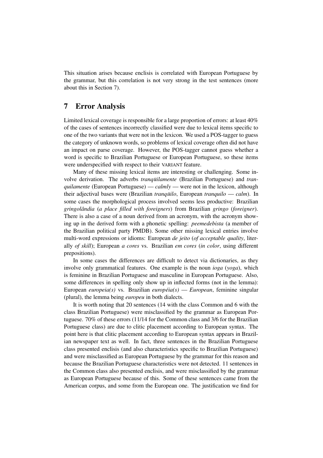This situation arises because enclisis is correlated with European Portuguese by the grammar, but this correlation is not very strong in the test sentences (more about this in Section 7).

## **7 Error Analysis**

Limited lexical coverage is responsible for a large proportion of errors: at least 40% of the cases of sentences incorrectly classified were due to lexical items specific to one of the two variants that were not in the lexicon. We used a POS-tagger to guess the category of unknown words, so problems of lexical coverage often did not have an impact on parse coverage. However, the POS-tagger cannot guess whether a word is specific to Brazilian Portuguese or European Portuguese, so these items were underspecified with respect to their VARIANT feature.

Many of these missing lexical items are interesting or challenging. Some involve derivation. The adverbs *tranquilamente* (Brazilian Portuguese) and *tranquilamente* (European Portuguese) — *calmly* — were not in the lexicon, although their adjectival bases were (Brazilian *tranquilo ¨* , European *tranquilo* — *calm*). In some cases the morphological process involved seems less productive: Brazilian *gringolandia ˆ* (*a place filled with foreigners*) from Brazilian *gringo* (*foreigner*). There is also a case of a noun derived from an acronym, with the acronym showing up in the derived form with a phonetic spelling: *peemedebista* (a member of the Brazilian political party PMDB). Some other missing lexical entries involve multi-word expressions or idioms: European *de jeito* (*of acceptable quality*, literally *of skill*); European *a cores* vs. Brazilian *em cores* (*in color*, using different prepositions).

In some cases the differences are difficult to detect via dictionaries, as they involve only grammatical features. One example is the noun *ioga* (*yoga*), which is feminine in Brazilian Portuguese and masculine in European Portuguese. Also, some differences in spelling only show up in inflected forms (not in the lemma): European *europeia(s)* vs. Brazilian *europeia(s) ´* — *European*, feminine singular (plural), the lemma being *europeu* in both dialects.

It is worth noting that 20 sentences (14 with the class Common and 6 with the class Brazilian Portuguese) were misclassified by the grammar as European Portuguese. 70% of these errors (11/14 for the Common class and 3/6 for the Brazilian Portuguese class) are due to clitic placement according to European syntax. The point here is that clitic placement according to European syntax appears in Brazilian newspaper text as well. In fact, three sentences in the Brazilian Portuguese class presented enclisis (and also characteristics specific to Brazilian Portuguese) and were misclassified as European Portuguese by the grammar for this reason and because the Brazilian Portuguese characteristics were not detected. 11 sentences in the Common class also presented enclisis, and were misclassified by the grammar as European Portuguese because of this. Some of these sentences came from the American corpus, and some from the European one. The justification we find for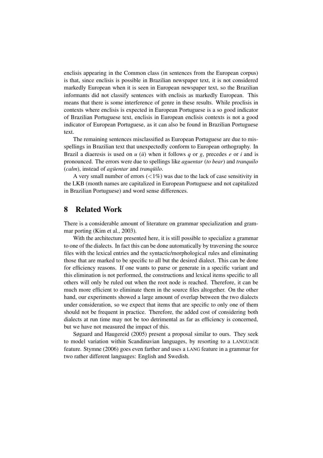enclisis appearing in the Common class (in sentences from the European corpus) is that, since enclisis is possible in Brazilian newspaper text, it is not considered markedly European when it is seen in European newspaper text, so the Brazilian informants did not classify sentences with enclisis as markedly European. This means that there is some interference of genre in these results. While proclisis in contexts where enclisis is expected in European Portuguese is a so good indicator of Brazilian Portuguese text, enclisis in European enclisis contexts is not a good indicator of European Portuguese, as it can also be found in Brazilian Portuguese text.

The remaining sentences misclassified as European Portuguese are due to misspellings in Brazilian text that unexpectedly conform to European orthography. In Brazil a diaeresis is used on  $u(i)$  when it follows  $q$  or  $g$ , precedes  $e$  or  $i$  and is pronounced. The errors were due to spellings like *aguentar* (*to bear*) and *tranquilo* (*calm*), instead of *aguentar* and *tranquilo*.

A very small number of errors  $\left(\langle 1\% \rangle\right)$  was due to the lack of case sensitivity in the LKB (month names are capitalized in European Portuguese and not capitalized in Brazilian Portuguese) and word sense differences.

### **8 Related Work**

There is a considerable amount of literature on grammar specialization and grammar porting (Kim et al., 2003).

With the architecture presented here, it is still possible to specialize a grammar to one of the dialects. In fact this can be done automatically by traversing the source files with the lexical entries and the syntactic/morphological rules and eliminating those that are marked to be specific to all but the desired dialect. This can be done for efficiency reasons. If one wants to parse or generate in a specific variant and this elimination is not performed, the constructions and lexical items specific to all others will only be ruled out when the root node is reached. Therefore, it can be much more efficient to eliminate them in the source files altogether. On the other hand, our experiments showed a large amount of overlap between the two dialects under consideration, so we expect that items that are specific to only one of them should not be frequent in practice. Therefore, the added cost of considering both dialects at run time may not be too detrimental as far as efficiency is concerned, but we have not measured the impact of this.

Søgaard and Haugereid (2005) present a proposal similar to ours. They seek to model variation within Scandinavian languages, by resorting to a LANGUAGE feature. Stymne (2006) goes even farther and uses a LANG feature in a grammar for two rather different languages: English and Swedish.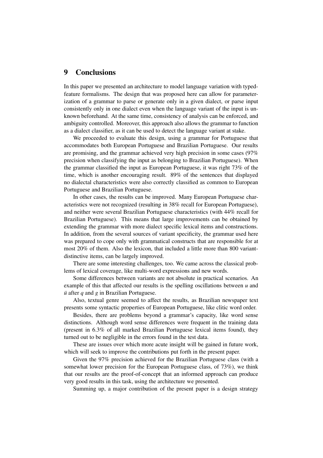### **9 Conclusions**

In this paper we presented an architecture to model language variation with typedfeature formalisms. The design that was proposed here can allow for parameterization of a grammar to parse or generate only in a given dialect, or parse input consistently only in one dialect even when the language variant of the input is unknown beforehand. At the same time, consistency of analysis can be enforced, and ambiguity controlled. Moreover, this approach also allows the grammar to function as a dialect classifier, as it can be used to detect the language variant at stake.

We proceeded to evaluate this design, using a grammar for Portuguese that accommodates both European Portuguese and Brazilian Portuguese. Our results are promising, and the grammar achieved very high precision in some cases (97% precision when classifying the input as belonging to Brazilian Portuguese). When the grammar classified the input as European Portuguese, it was right 73% of the time, which is another encouraging result. 89% of the sentences that displayed no dialectal characteristics were also correctly classified as common to European Portuguese and Brazilian Portuguese.

In other cases, the results can be improved. Many European Portuguese characteristics were not recognized (resulting in 38% recall for European Portuguese), and neither were several Brazilian Portuguese characteristics (with 44% recall for Brazilian Portuguese). This means that large improvements can be obtained by extending the grammar with more dialect specific lexical items and constructions. In addition, from the several sources of variant specificity, the grammar used here was prepared to cope only with grammatical constructs that are responsible for at most 20% of them. Also the lexicon, that included a little more than 800 variantdistinctive items, can be largely improved.

There are some interesting challenges, too. We came across the classical problems of lexical coverage, like multi-word expressions and new words.

Some differences between variants are not absolute in practical scenarios. An example of this that affected our results is the spelling oscillations between *u* and *u¨* after *q* and *g* in Brazilian Portuguese.

Also, textual genre seemed to affect the results, as Brazilian newspaper text presents some syntactic properties of European Portuguese, like clitic word order.

Besides, there are problems beyond a grammar's capacity, like word sense distinctions. Although word sense differences were frequent in the training data (present in 6.3% of all marked Brazilian Portuguese lexical items found), they turned out to be negligible in the errors found in the test data.

These are issues over which more acute insight will be gained in future work, which will seek to improve the contributions put forth in the present paper.

Given the 97% precision achieved for the Brazilian Portuguese class (with a somewhat lower precision for the European Portuguese class, of 73%), we think that our results are the proof-of-concept that an informed approach can produce very good results in this task, using the architecture we presented.

Summing up, a major contribution of the present paper is a design strategy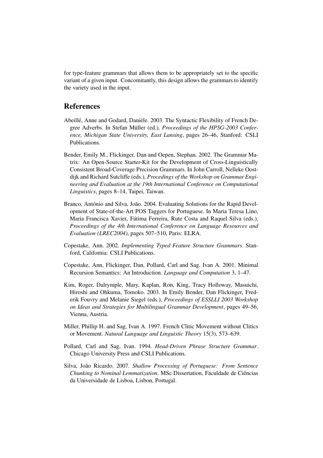for type-feature grammars that allows them to be appropriately set to the specific variant of a given input. Concomitantly, this design allows the grammars to identify the variety used in the input.

### **References**

- Abeillé, Anne and Godard, Danièle. 2003. The Syntactic Flexibility of French Degree Adverbs. In Stefan Müller (ed.), *Proceedings of the HPSG-2003 Conference, Michigan State University, East Lansing*, pages 26–46, Stanford: CSLI Publications.
- Bender, Emily M., Flickinger, Dan and Oepen, Stephan. 2002. The Grammar Matrix: An Open-Source Starter-Kit for the Development of Cross-Linguistically Consistent Broad-Coverage Precision Grammars. In John Carroll, Nelleke Oostdijk and Richard Sutcliffe (eds.), *Procedings of the Workshop on Grammar Engineering and Evaluation at the 19th International Conference on Computational Linguistics*, pages 8–14, Taipei, Taiwan.
- Branco, António and Silva, João. 2004. Evaluating Solutions for the Rapid Development of State-of-the-Art POS Taggers for Portuguese. In Maria Teresa Lino, Maria Francisca Xavier, Fátima Ferreira, Rute Costa and Raquel Silva (eds.), *Proceedings of the 4th International Conference on Language Resources and Evaluation (LREC2004)*, pages 507–510, Paris: ELRA.
- Copestake, Ann. 2002. *Implementing Typed Feature Structure Grammars*. Stanford, California: CSLI Publications.
- Copestake, Ann, Flickinger, Dan, Pollard, Carl and Sag, Ivan A. 2001. Minimal Recursion Semantics: An Introduction. *Language and Computation* 3, 1–47.
- Kim, Roger, Dalrymple, Mary, Kaplan, Ron, King, Tracy Holloway, Masuichi, Hiroshi and Ohkuma, Tomoko. 2003. In Emily Bender, Dan Flickinger, Frederik Fouvry and Melanie Siegel (eds.), *Proceedings of ESSLLI 2003 Workshop on Ideas and Strategies for Multilingual Grammar Development*, pages 49–56, Vienna, Austria.
- Miller, Phillip H. and Sag, Ivan A. 1997. French Clitic Movement without Clitics or Movement. *Natural Language and Linguistic Theory* 15(3), 573–639.
- Pollard, Carl and Sag, Ivan. 1994. *Head-Driven Phrase Structure Grammar*. Chicago University Press and CSLI Publications.
- Silva, Joao˜ Ricardo. 2007. *Shallow Processing of Portuguese: From Sentence Chunking to Nominal Lemmatization*. MSc Dissertation, Faculdade de Ciencias ˆ da Universidade de Lisboa, Lisbon, Portugal.